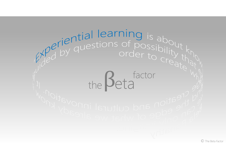# thefactoreta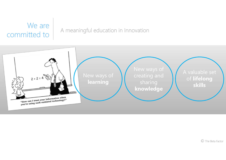# We are<br>committed to

### A meaningful education in Innovation

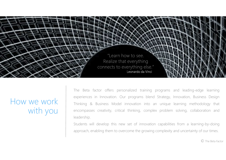

How we work with you

The Beta factor offers personalized training programs and leading-edge learning experiences in Innovation. Our programs blend Strategy, Innovation, Business Design Thinking & Business Model innovation into an unique learning methodology that encompasses creativity, critical thinking, complex problem solving, collaboration and leadership.

Students will develop this new set of innovation capabilities from <sup>a</sup> learning-by-doing approach, enabling them to overcome the growing complexity and uncertainty of our times.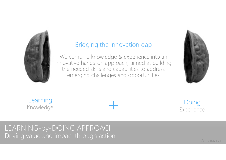

## Bridging the innovation gap

We combine knowledge & experience into an innovative hands-on approach, aimed at building the needed skills and capabilities to address emerging challenges and opportunities



Learning Knowledge $\frac{3}{2}$ 

**Doing** Experience

# LEARNING-by-DOING APPROACHDriving value and impact through action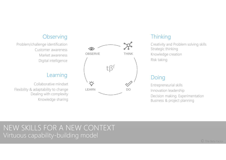#### **Observing**

Problem/challenge identification Customer awarenessMarket awarenessDigital intelligence

Collaborative mindsetFlexibility & adaptability to change Dealing with complexityKnowledge sharing



#### **Thinking**

Creativity and Problem solving skills Strategic thinking Knowledge creationRisk taking

#### Doing

Entrepreneurial skillsInnovation leadership Decision making. Experimentation Business & project planning

# NEW SKILLS FOR A NEW CONTEXTVirtuous capability-building model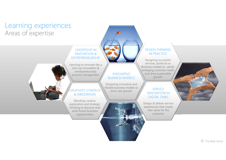# Learning experiencesAreas of expertise

#### LEADERSHIP IN INNOVATION & ENTREPRENEURSHIP

Learning to innovate like a start up: innovation & entrepreneurship process management

#### CREATIVITY, STRATEGY & INNOVATION

Blending creative exploration and strategic thinking to discover and seize future business opportunities



#### INNOVATIVE BUSINESS MODELS

Designing innovative and flexible business models to drive new growth

#### DESIGN THINKING **IN PRACTICE**

Designing successful services, products or Business models to satisfy emerging customer needs and drive sustainable growth

#### **SERVICE**  INNOVATION IN DIGITAL TIMES

Design & deliver service experiences that create new value for the customer

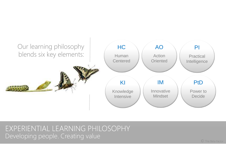

# EXPERIENTIAL LEARNING PHILOSOPHYDeveloping people. Creating value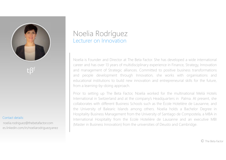

#### Contact details:

es.linkedin.com/in/noeliarodriguezyanez noelia.rodriguez@thebetafactor.com

# Noelia RodríguezLecturer on Innovation

Noelia is Founder and Director at The Beta Factor. She has developed <sup>a</sup> wide international career and has over <sup>13</sup> years of multidisciplinary experience in Finance, Strategy, Innovation and managemen<sup>t</sup> of Strategic alliances. Committed to positive business transformations and people development through Innovation, she works with organisations and educational institutions to build new innovation and entrepreneurial skills for the future, from <sup>a</sup> learning-by-doing approach.

Prior to setting up The Beta Factor, Noelia worked for the multinational Meliá Hotels International in Switzerland and at the company's Headquarters in Palma. At present, she collaborates with different Business Schools such as the École Hotelière de Lausanne, and the University of Balearic Islands among others. Noelia holds <sup>a</sup> Bachelor Degree in Hospitality Business Management from the University of Santiago de Compostela, <sup>a</sup> MBA in International Hospitality from the Ecole Hotelière de Lausanne and an executive MBI (Master in Business Innovation) from the universities of Deusto and Cambridge.